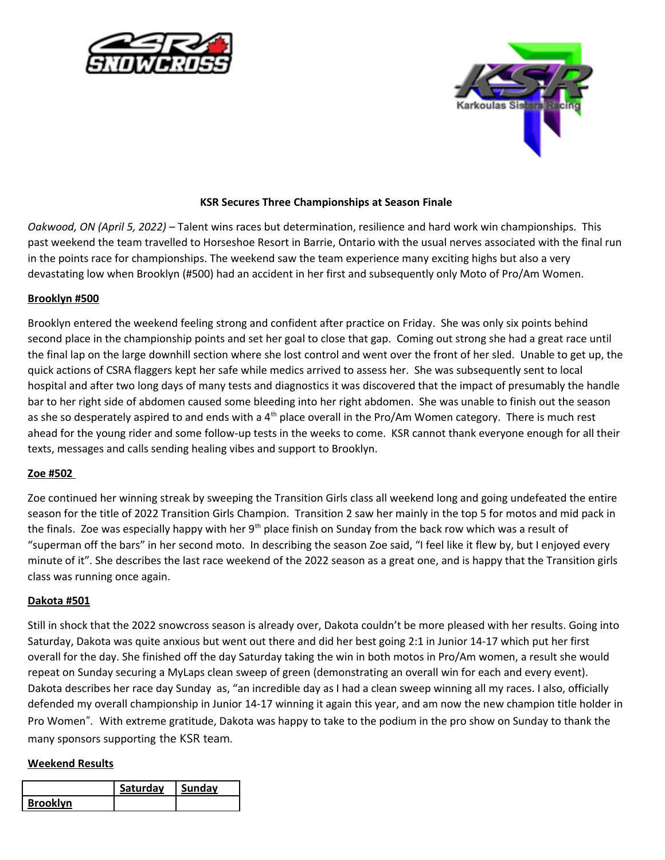



## **KSR Secures Three Championships at Season Finale**

*Oakwood, ON (April 5, 2022)* – Talent wins races but determination, resilience and hard work win championships. This past weekend the team travelled to Horseshoe Resort in Barrie, Ontario with the usual nerves associated with the final run in the points race for championships. The weekend saw the team experience many exciting highs but also a very devastating low when Brooklyn (#500) had an accident in her first and subsequently only Moto of Pro/Am Women.

### **Brooklyn #500**

Brooklyn entered the weekend feeling strong and confident after practice on Friday. She was only six points behind second place in the championship points and set her goal to close that gap. Coming out strong she had a great race until the final lap on the large downhill section where she lost control and went over the front of her sled. Unable to get up, the quick actions of CSRA flaggers kept her safe while medics arrived to assess her. She was subsequently sent to local hospital and after two long days of many tests and diagnostics it was discovered that the impact of presumably the handle bar to her right side of abdomen caused some bleeding into her right abdomen. She was unable to finish out the season as she so desperately aspired to and ends with a  $4<sup>th</sup>$  place overall in the Pro/Am Women category. There is much rest ahead for the young rider and some follow-up tests in the weeks to come. KSR cannot thank everyone enough for all their texts, messages and calls sending healing vibes and support to Brooklyn.

## **Zoe #502**

Zoe continued her winning streak by sweeping the Transition Girls class all weekend long and going undefeated the entire season for the title of 2022 Transition Girls Champion. Transition 2 saw her mainly in the top 5 for motos and mid pack in the finals. Zoe was especially happy with her  $9<sup>th</sup>$  place finish on Sunday from the back row which was a result of "superman off the bars" in her second moto. In describing the season Zoe said, "I feel like it flew by, but I enjoyed every minute of it". She describes the last race weekend of the 2022 season as a great one, and is happy that the Transition girls class was running once again.

#### **Dakota #501**

Still in shock that the 2022 snowcross season is already over, Dakota couldn't be more pleased with her results. Going into Saturday, Dakota was quite anxious but went out there and did her best going 2:1 in Junior 14-17 which put her first overall for the day. She finished off the day Saturday taking the win in both motos in Pro/Am women, a result she would repeat on Sunday securing a MyLaps clean sweep of green (demonstrating an overall win for each and every event). Dakota describes her race day Sunday as, "an incredible day as I had a clean sweep winning all my races. I also, officially defended my overall championship in Junior 14-17 winning it again this year, and am now the new champion title holder in Pro Women". With extreme gratitude, Dakota was happy to take to the podium in the pro show on Sunday to thank the many sponsors supporting the KSR team.

#### **Weekend Results**

|                 | Saturday | Sunday |
|-----------------|----------|--------|
| <b>Brooklyn</b> |          |        |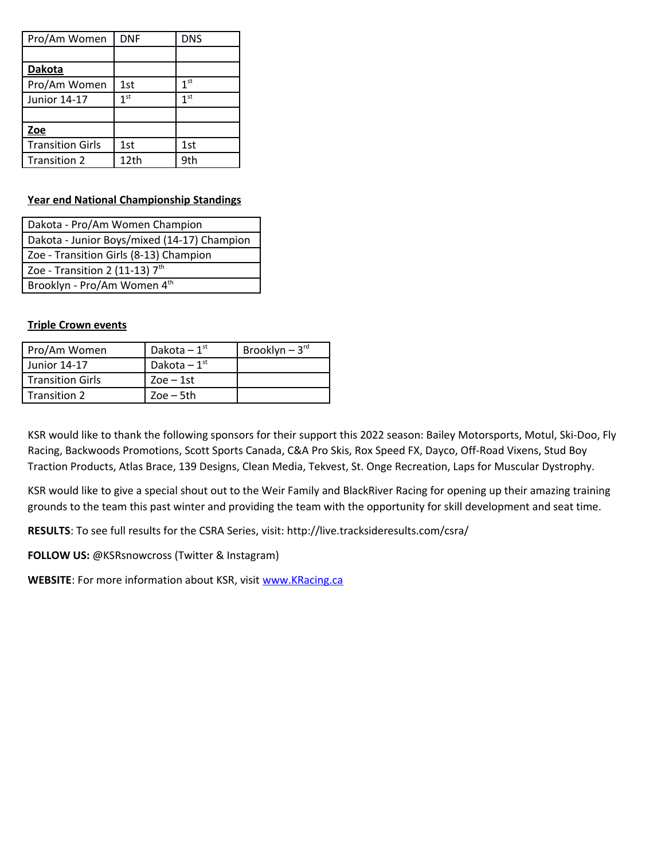| Pro/Am Women            | <b>DNF</b>      | <b>DNS</b>      |
|-------------------------|-----------------|-----------------|
|                         |                 |                 |
| <b>Dakota</b>           |                 |                 |
| Pro/Am Women            | 1st             | 1 <sup>st</sup> |
| <b>Junior 14-17</b>     | 1 <sup>st</sup> | 1 <sup>st</sup> |
|                         |                 |                 |
| Zoe                     |                 |                 |
| <b>Transition Girls</b> | 1st             | 1st             |
| Transition 2            | 12th            | 9th             |

# **Year end National Championship Standings**

| Dakota - Pro/Am Women Champion              |  |  |
|---------------------------------------------|--|--|
| Dakota - Junior Boys/mixed (14-17) Champion |  |  |
| Zoe - Transition Girls (8-13) Champion      |  |  |
| Zoe - Transition 2 (11-13) 7 <sup>th</sup>  |  |  |
| Brooklyn - Pro/Am Women 4th                 |  |  |

## **Triple Crown events**

| Pro/Am Women            | Dakota $-1$ <sup>st</sup> | Brooklyn $-3$ <sup>rd</sup> |
|-------------------------|---------------------------|-----------------------------|
| Junior 14-17            | Dakota – $1st$            |                             |
| <b>Transition Girls</b> | $Zoe - 1st$               |                             |
| Transition 2            | $Zoe - 5th$               |                             |

KSR would like to thank the following sponsors for their support this 2022 season: Bailey Motorsports, Motul, Ski-Doo, Fly Racing, Backwoods Promotions, Scott Sports Canada, C&A Pro Skis, Rox Speed FX, Dayco, Off-Road Vixens, Stud Boy Traction Products, Atlas Brace, 139 Designs, Clean Media, Tekvest, St. Onge Recreation, Laps for Muscular Dystrophy.

KSR would like to give a special shout out to the Weir Family and BlackRiver Racing for opening up their amazing training grounds to the team this past winter and providing the team with the opportunity for skill development and seat time.

**RESULTS**: To see full results for the CSRA Series, visit: http://live.tracksideresults.com/csra/

**FOLLOW US:** @KSRsnowcross (Twitter & Instagram)

**WEBSITE**: For more information about KSR, visit [www.KRacing.ca](http://www.KRacing.ca/)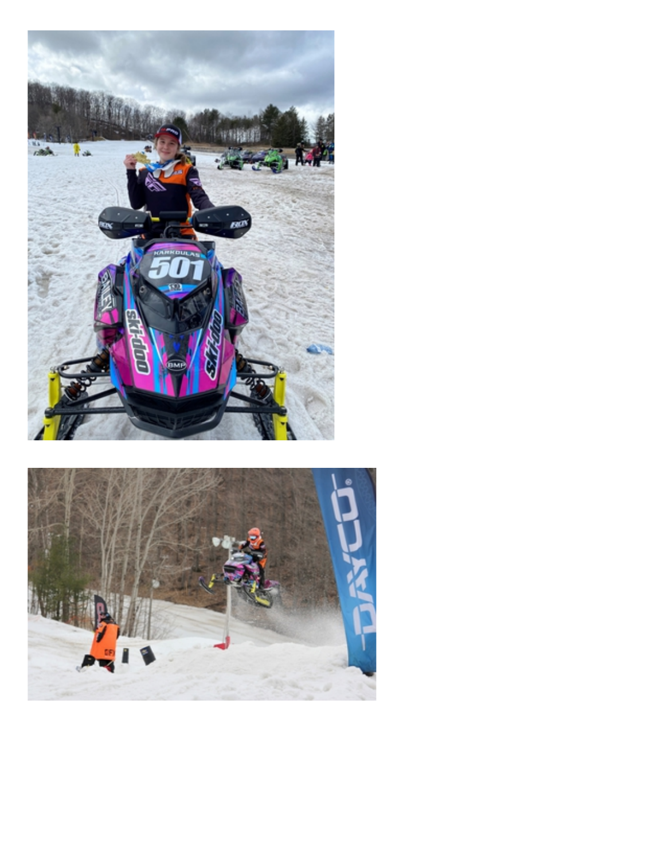